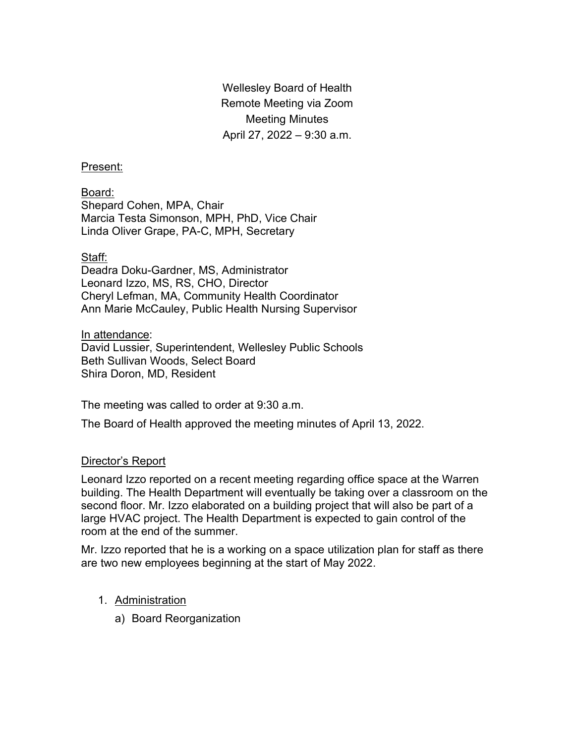Wellesley Board of Health Remote Meeting via Zoom Meeting Minutes April 27, 2022 – 9:30 a.m.

### Present:

Board: Shepard Cohen, MPA, Chair Marcia Testa Simonson, MPH, PhD, Vice Chair Linda Oliver Grape, PA-C, MPH, Secretary

## Staff:

Deadra Doku-Gardner, MS, Administrator Leonard Izzo, MS, RS, CHO, Director Cheryl Lefman, MA, Community Health Coordinator Ann Marie McCauley, Public Health Nursing Supervisor

In attendance:

David Lussier, Superintendent, Wellesley Public Schools Beth Sullivan Woods, Select Board Shira Doron, MD, Resident

The meeting was called to order at 9:30 a.m.

The Board of Health approved the meeting minutes of April 13, 2022.

# Director's Report

Leonard Izzo reported on a recent meeting regarding office space at the Warren building. The Health Department will eventually be taking over a classroom on the second floor. Mr. Izzo elaborated on a building project that will also be part of a large HVAC project. The Health Department is expected to gain control of the room at the end of the summer.

Mr. Izzo reported that he is a working on a space utilization plan for staff as there are two new employees beginning at the start of May 2022.

- 1. Administration
	- a) Board Reorganization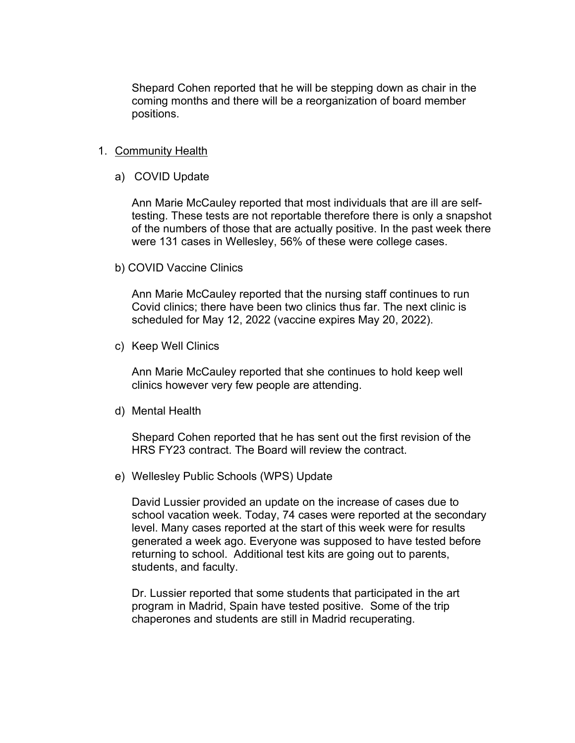Shepard Cohen reported that he will be stepping down as chair in the coming months and there will be a reorganization of board member positions.

#### 1. Community Health

a) COVID Update

Ann Marie McCauley reported that most individuals that are ill are selftesting. These tests are not reportable therefore there is only a snapshot of the numbers of those that are actually positive. In the past week there were 131 cases in Wellesley, 56% of these were college cases.

b) COVID Vaccine Clinics

Ann Marie McCauley reported that the nursing staff continues to run Covid clinics; there have been two clinics thus far. The next clinic is scheduled for May 12, 2022 (vaccine expires May 20, 2022).

c) Keep Well Clinics

Ann Marie McCauley reported that she continues to hold keep well clinics however very few people are attending.

d) Mental Health

Shepard Cohen reported that he has sent out the first revision of the HRS FY23 contract. The Board will review the contract.

e) Wellesley Public Schools (WPS) Update

David Lussier provided an update on the increase of cases due to school vacation week. Today, 74 cases were reported at the secondary level. Many cases reported at the start of this week were for results generated a week ago. Everyone was supposed to have tested before returning to school. Additional test kits are going out to parents, students, and faculty.

Dr. Lussier reported that some students that participated in the art program in Madrid, Spain have tested positive. Some of the trip chaperones and students are still in Madrid recuperating.